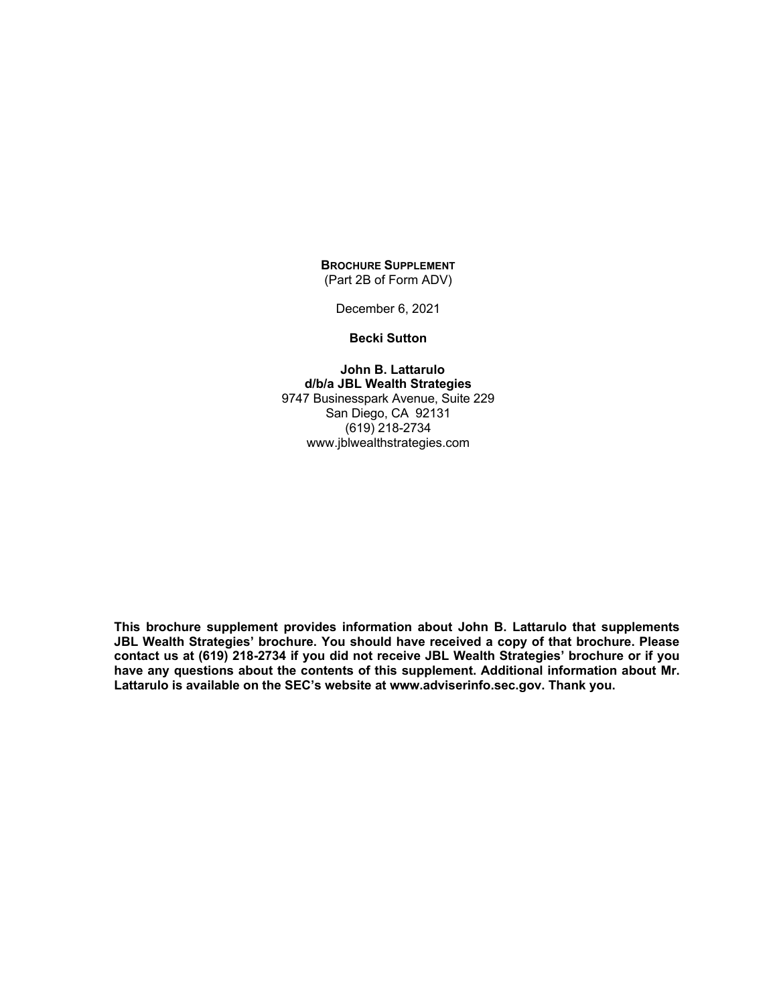## **BROCHURE SUPPLEMENT** (Part 2B of Form ADV)

December 6, 2021

#### **Becki Sutton**

**John B. Lattarulo d/b/a JBL Wealth Strategies** 9747 Businesspark Avenue, Suite 229 San Diego, CA 92131 (619) 218-2734 www.jblwealthstrategies.com

**This brochure supplement provides information about John B. Lattarulo that supplements JBL Wealth Strategies' brochure. You should have received a copy of that brochure. Please contact us at (619) 218-2734 if you did not receive JBL Wealth Strategies' brochure or if you have any questions about the contents of this supplement. Additional information about Mr. Lattarulo is available on the SEC's website at www.adviserinfo.sec.gov. Thank you.**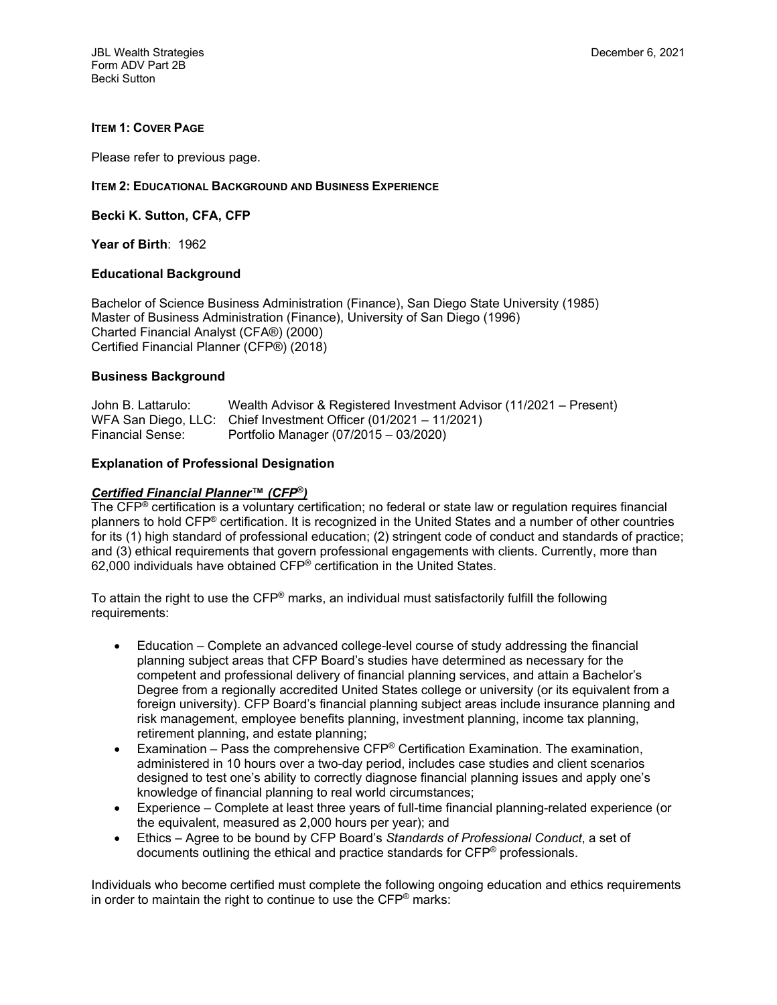### **ITEM 1: COVER PAGE**

Please refer to previous page.

#### **ITEM 2: EDUCATIONAL BACKGROUND AND BUSINESS EXPERIENCE**

**Becki K. Sutton, CFA, CFP**

**Year of Birth**: 1962

### **Educational Background**

Bachelor of Science Business Administration (Finance), San Diego State University (1985) Master of Business Administration (Finance), University of San Diego (1996) Charted Financial Analyst (CFA®) (2000) Certified Financial Planner (CFP®) (2018)

### **Business Background**

| John B. Lattarulo: | Wealth Advisor & Registered Investment Advisor (11/2021 – Present) |
|--------------------|--------------------------------------------------------------------|
|                    | WFA San Diego, LLC: Chief Investment Officer (01/2021 – 11/2021)   |
| Financial Sense:   | Portfolio Manager (07/2015 – 03/2020)                              |

### **Explanation of Professional Designation**

### *Certified Financial Planner***™** *(CFP***®***)*

The CFP® certification is a voluntary certification; no federal or state law or regulation requires financial planners to hold CFP® certification. It is recognized in the United States and a number of other countries for its (1) high standard of professional education; (2) stringent code of conduct and standards of practice; and (3) ethical requirements that govern professional engagements with clients. Currently, more than 62,000 individuals have obtained CFP® certification in the United States.

To attain the right to use the CFP® marks, an individual must satisfactorily fulfill the following requirements:

- Education Complete an advanced college-level course of study addressing the financial planning subject areas that CFP Board's studies have determined as necessary for the competent and professional delivery of financial planning services, and attain a Bachelor's Degree from a regionally accredited United States college or university (or its equivalent from a foreign university). CFP Board's financial planning subject areas include insurance planning and risk management, employee benefits planning, investment planning, income tax planning, retirement planning, and estate planning;
- Examination Pass the comprehensive CFP<sup>®</sup> Certification Examination. The examination, administered in 10 hours over a two-day period, includes case studies and client scenarios designed to test one's ability to correctly diagnose financial planning issues and apply one's knowledge of financial planning to real world circumstances;
- Experience Complete at least three years of full-time financial planning-related experience (or the equivalent, measured as 2,000 hours per year); and
- Ethics Agree to be bound by CFP Board's *Standards of Professional Conduct*, a set of documents outlining the ethical and practice standards for CFP® professionals.

Individuals who become certified must complete the following ongoing education and ethics requirements in order to maintain the right to continue to use the CFP® marks: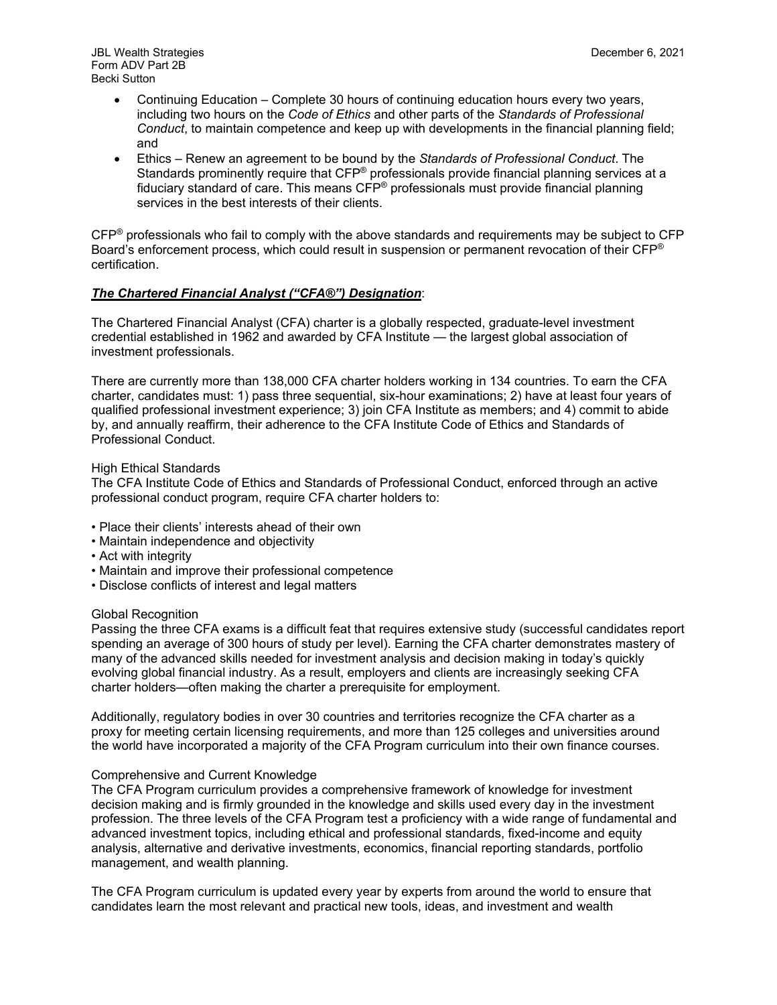JBL Wealth Strategies **December 6, 2021** Form ADV Part 2B Becki Sutton

- Continuing Education Complete 30 hours of continuing education hours every two years, including two hours on the *Code of Ethics* and other parts of the *Standards of Professional Conduct*, to maintain competence and keep up with developments in the financial planning field; and
- Ethics Renew an agreement to be bound by the *Standards of Professional Conduct*. The Standards prominently require that CFP® professionals provide financial planning services at a fiduciary standard of care. This means CFP® professionals must provide financial planning services in the best interests of their clients.

CFP® professionals who fail to comply with the above standards and requirements may be subject to CFP Board's enforcement process, which could result in suspension or permanent revocation of their CFP® certification.

# *The Chartered Financial Analyst ("CFA®") Designation*:

The Chartered Financial Analyst (CFA) charter is a globally respected, graduate-level investment credential established in 1962 and awarded by CFA Institute — the largest global association of investment professionals.

There are currently more than 138,000 CFA charter holders working in 134 countries. To earn the CFA charter, candidates must: 1) pass three sequential, six-hour examinations; 2) have at least four years of qualified professional investment experience; 3) join CFA Institute as members; and 4) commit to abide by, and annually reaffirm, their adherence to the CFA Institute Code of Ethics and Standards of Professional Conduct.

### High Ethical Standards

The CFA Institute Code of Ethics and Standards of Professional Conduct, enforced through an active professional conduct program, require CFA charter holders to:

- Place their clients' interests ahead of their own
- Maintain independence and objectivity
- Act with integrity
- Maintain and improve their professional competence
- Disclose conflicts of interest and legal matters

### Global Recognition

Passing the three CFA exams is a difficult feat that requires extensive study (successful candidates report spending an average of 300 hours of study per level). Earning the CFA charter demonstrates mastery of many of the advanced skills needed for investment analysis and decision making in today's quickly evolving global financial industry. As a result, employers and clients are increasingly seeking CFA charter holders—often making the charter a prerequisite for employment.

Additionally, regulatory bodies in over 30 countries and territories recognize the CFA charter as a proxy for meeting certain licensing requirements, and more than 125 colleges and universities around the world have incorporated a majority of the CFA Program curriculum into their own finance courses.

### Comprehensive and Current Knowledge

The CFA Program curriculum provides a comprehensive framework of knowledge for investment decision making and is firmly grounded in the knowledge and skills used every day in the investment profession. The three levels of the CFA Program test a proficiency with a wide range of fundamental and advanced investment topics, including ethical and professional standards, fixed-income and equity analysis, alternative and derivative investments, economics, financial reporting standards, portfolio management, and wealth planning.

The CFA Program curriculum is updated every year by experts from around the world to ensure that candidates learn the most relevant and practical new tools, ideas, and investment and wealth